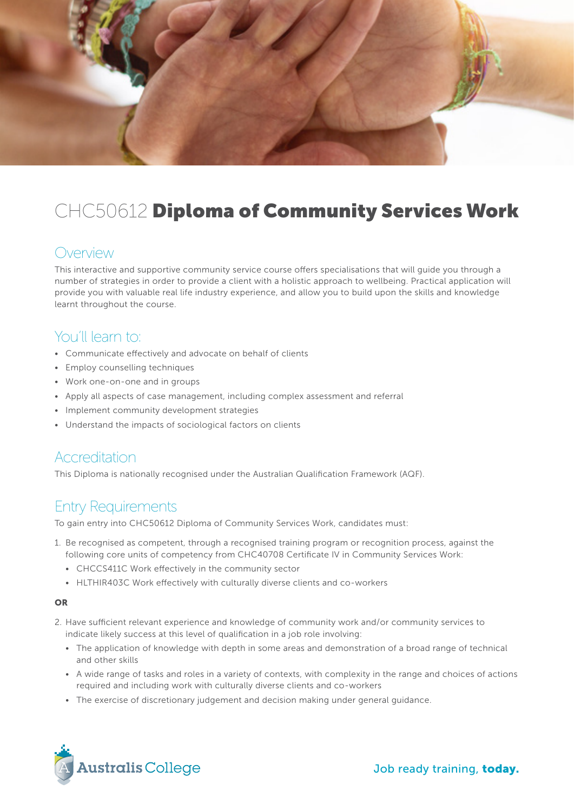

# CHC50612 Diploma of Community Services Work

### Overview

This interactive and supportive community service course offers specialisations that will guide you through a number of strategies in order to provide a client with a holistic approach to wellbeing. Practical application will provide you with valuable real life industry experience, and allow you to build upon the skills and knowledge learnt throughout the course.

### You'll learn to:

- Communicate effectively and advocate on behalf of clients
- Employ counselling techniques
- Work one-on-one and in groups
- Apply all aspects of case management, including complex assessment and referral
- Implement community development strategies
- Understand the impacts of sociological factors on clients

#### Accreditation

This Diploma is nationally recognised under the Australian Qualification Framework (AQF).

## Entry Requirements

To gain entry into CHC50612 Diploma of Community Services Work, candidates must:

- 1. Be recognised as competent, through a recognised training program or recognition process, against the following core units of competency from CHC40708 Certificate IV in Community Services Work:
	- CHCCS411C Work effectively in the community sector
	- HLTHIR403C Work effectively with culturally diverse clients and co-workers

#### OR

- 2. Have sufficient relevant experience and knowledge of community work and/or community services to indicate likely success at this level of qualification in a job role involving:
	- The application of knowledge with depth in some areas and demonstration of a broad range of technical and other skills
	- A wide range of tasks and roles in a variety of contexts, with complexity in the range and choices of actions required and including work with culturally diverse clients and co-workers
	- The exercise of discretionary judgement and decision making under general guidance.

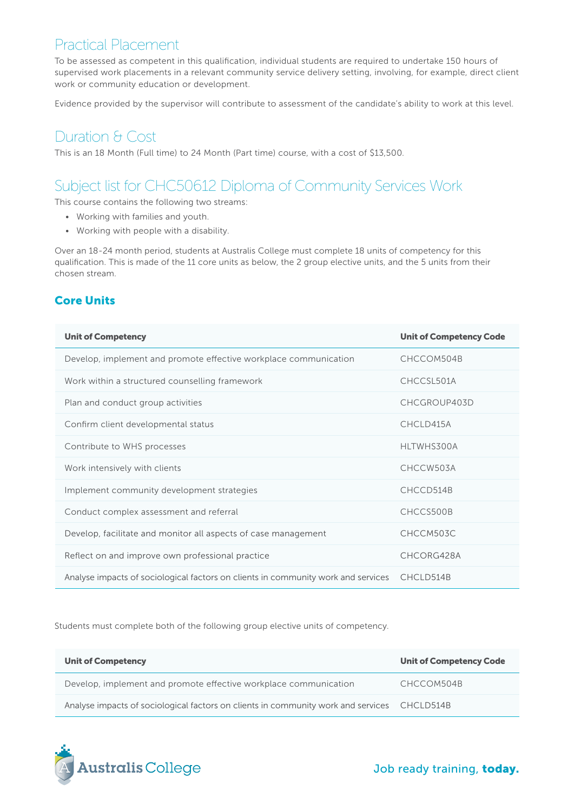### Practical Placement

To be assessed as competent in this qualification, individual students are required to undertake 150 hours of supervised work placements in a relevant community service delivery setting, involving, for example, direct client work or community education or development.

Evidence provided by the supervisor will contribute to assessment of the candidate's ability to work at this level.

## Duration & Cost

This is an 18 Month (Full time) to 24 Month (Part time) course, with a cost of \$13,500.

# Subject list for CHC50612 Diploma of Community Services Work

This course contains the following two streams:

- Working with families and youth.
- Working with people with a disability.

Over an 18-24 month period, students at Australis College must complete 18 units of competency for this qualification. This is made of the 11 core units as below, the 2 group elective units, and the 5 units from their chosen stream.

#### Core Units

| <b>Unit of Competency</b>                                                         | <b>Unit of Competency Code</b> |
|-----------------------------------------------------------------------------------|--------------------------------|
| Develop, implement and promote effective workplace communication                  | CHCCOM504B                     |
| Work within a structured counselling framework                                    | CHCCSL501A                     |
| Plan and conduct group activities                                                 | CHCGROUP403D                   |
| Confirm client developmental status                                               | CHCLD415A                      |
| Contribute to WHS processes                                                       | HLTWHS300A                     |
| Work intensively with clients                                                     | CHCCW503A                      |
| Implement community development strategies                                        | CHCCD514B                      |
| Conduct complex assessment and referral                                           | CHCCS500B                      |
| Develop, facilitate and monitor all aspects of case management                    | CHCCM503C                      |
| Reflect on and improve own professional practice                                  | CHCORG428A                     |
| Analyse impacts of sociological factors on clients in community work and services | CHCLD514B                      |

Students must complete both of the following group elective units of competency.

| <b>Unit of Competency</b>                                                                   | <b>Unit of Competency Code</b> |
|---------------------------------------------------------------------------------------------|--------------------------------|
| Develop, implement and promote effective workplace communication                            | CHCCOM504B                     |
| Analyse impacts of sociological factors on clients in community work and services CHCLD514B |                                |



Job ready training, today.